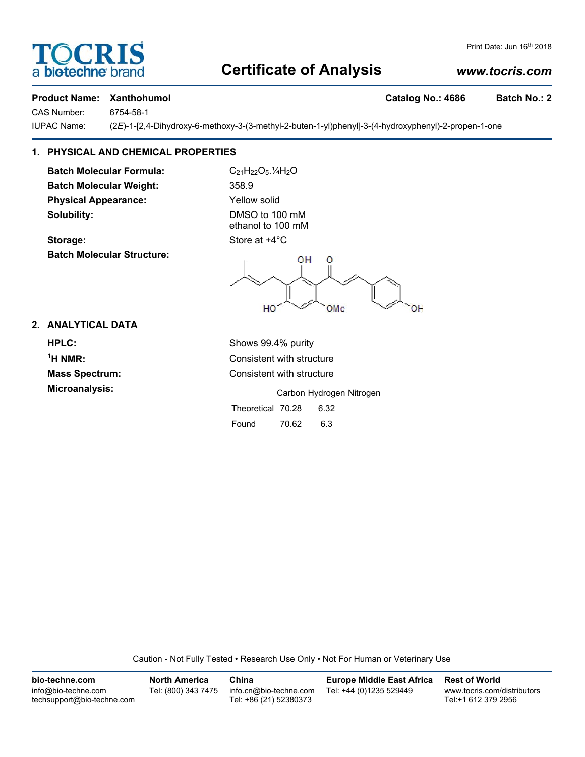## **Certificate of Analysis**

### *www.tocris.com*

Print Date: Jun 16<sup>th</sup> 2018

#### **Product Name: Xanthohumol Catalog No.: 4686 Batch No.: 2**

CAS Number: 6754-58-1

**FOCRI** 

a **biotechne** br

IUPAC Name: (2*E*)-1-[2,4-Dihydroxy-6-methoxy-3-(3-methyl-2-buten-1-yl)phenyl]-3-(4-hydroxyphenyl)-2-propen-1-one

#### **1. PHYSICAL AND CHEMICAL PROPERTIES**

**Batch Molecular Formula:** C<sub>21</sub>H<sub>22</sub>O<sub>5</sub>.<sup>1</sup>/<sub>4</sub>H<sub>2</sub>O **Batch Molecular Weight:** 358.9 **Physical Appearance:** Yellow solid **Solubility:** DMSO to 100 mM

**Batch Molecular Structure:**

ethanol to 100 mM **Storage:** Store at  $+4^{\circ}$ C

ΟH Ō HO OMe

#### **2. ANALYTICAL DATA**

**HPLC:** Shows 99.4% purity  $<sup>1</sup>H NMR$ :</sup> **Microanalysis:** Microanalysis: **Carbon Hydrogen Nitrogen** 

**Consistent with structure Mass Spectrum:** Consistent with structure

Theoretical 70.28 6.32 Found 70.62 6.3

Caution - Not Fully Tested • Research Use Only • Not For Human or Veterinary Use